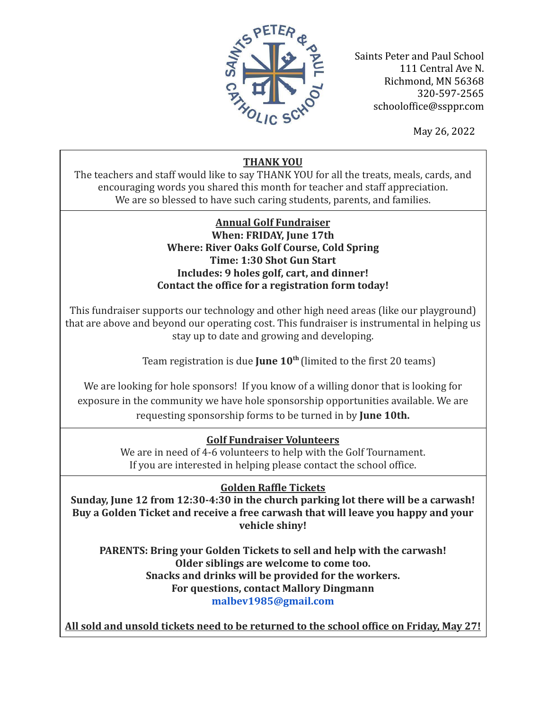

Saints Peter and Paul School 111 Central Ave N. Richmond, MN 56368 320-597-2565 schooloffice@ssppr.com

May 26, 2022

# **THANK YOU**

The teachers and staff would like to say THANK YOU for all the treats, meals, cards, and encouraging words you shared this month for teacher and staff appreciation. We are so blessed to have such caring students, parents, and families.

## **Annual Golf Fundraiser When: FRIDAY, June 17th Where: River Oaks Golf Course, Cold Spring Time: 1:30 Shot Gun Start Includes: 9 holes golf, cart, and dinner!** Contact the office for a registration form today!

This fundraiser supports our technology and other high need areas (like our playground) that are above and beyond our operating cost. This fundraiser is instrumental in helping us stay up to date and growing and developing.

Team registration is due **June 10<sup>th</sup>** (limited to the first 20 teams)

We are looking for hole sponsors! If you know of a willing donor that is looking for exposure in the community we have hole sponsorship opportunities available. We are requesting sponsorship forms to be turned in by **June 10th.** 

# **Golf Fundraiser Volunteers**

We are in need of 4-6 volunteers to help with the Golf Tournament. If you are interested in helping please contact the school office.

# **Golden Raffle Tickets**

Sunday, June 12 from 12:30-4:30 in the church parking lot there will be a carwash! Buy a Golden Ticket and receive a free carwash that will leave you happy and your **rehicle shiny!** 

PARENTS: Bring your Golden Tickets to sell and help with the carwash! **Older siblings are welcome to come too. Snacks and drinks will be provided for the workers. For questions, contact Mallory Dingmann** malbev1985@gmail.com

All sold and unsold tickets need to be returned to the school office on Friday, May 27!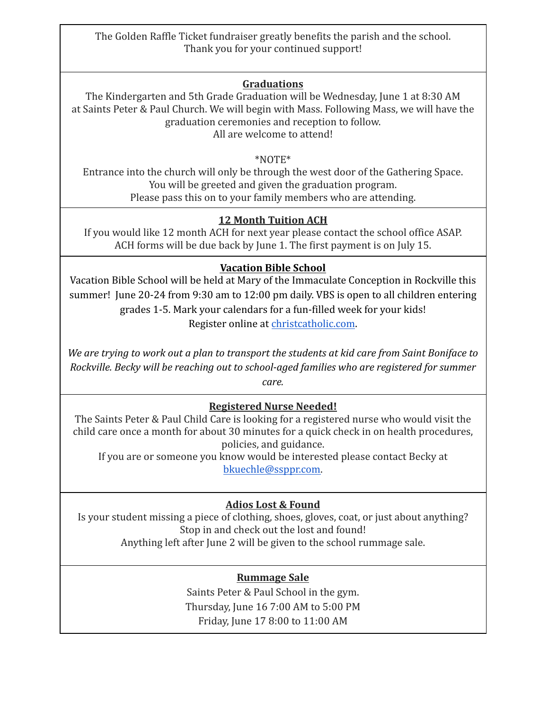The Golden Raffle Ticket fundraiser greatly benefits the parish and the school. Thank you for your continued support!

## **Graduations**

The Kindergarten and 5th Grade Graduation will be Wednesday, June 1 at 8:30 AM at Saints Peter & Paul Church. We will begin with Mass. Following Mass, we will have the graduation ceremonies and reception to follow. All are welcome to attend!

#### \*NOTE\*

Entrance into the church will only be through the west door of the Gathering Space. You will be greeted and given the graduation program. Please pass this on to your family members who are attending.

# **12 Month Tuition ACH**

If you would like 12 month ACH for next year please contact the school office ASAP. ACH forms will be due back by June 1. The first payment is on July 15.

# **Vacation Bible School**

Vacation Bible School will be held at Mary of the Immaculate Conception in Rockville this summer! June 20-24 from 9:30 am to 12:00 pm daily. VBS is open to all children entering grades 1-5. Mark your calendars for a fun-filled week for your kids! Register online at christcatholic.com.

*We are trying to work out a plan to transport the students at kid care from Saint Boniface to Rockville. Becky will be reaching out to school-aged families who are registered for summer care.* 

## **Registered Nurse Needed!**

The Saints Peter & Paul Child Care is looking for a registered nurse who would visit the child care once a month for about 30 minutes for a quick check in on health procedures, policies, and guidance.

If you are or someone you know would be interested please contact Becky at bkuechle@ssppr.com.

# **Adios Lost & Found**

Is your student missing a piece of clothing, shoes, gloves, coat, or just about anything? Stop in and check out the lost and found! Anything left after June 2 will be given to the school rummage sale.

## **Rummage Sale**

Saints Peter & Paul School in the gym. Thursday, June 16 7:00 AM to 5:00 PM Friday, June 17 8:00 to 11:00 AM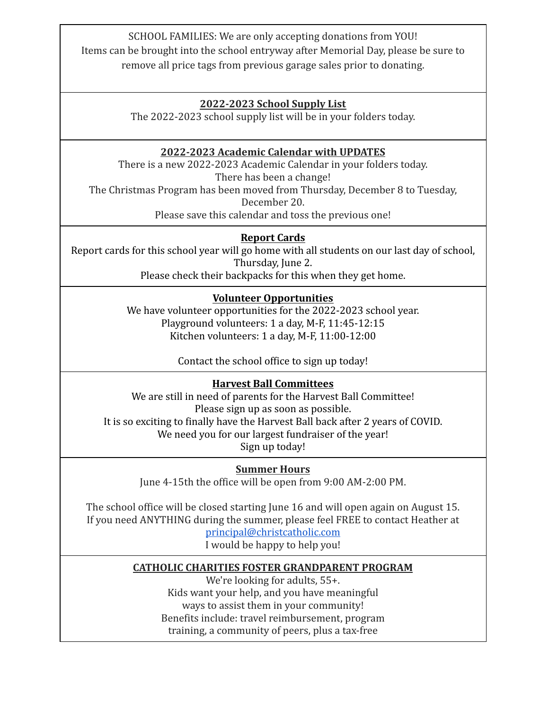SCHOOL FAMILIES: We are only accepting donations from YOU! Items can be brought into the school entryway after Memorial Day, please be sure to remove all price tags from previous garage sales prior to donating.

#### $2022 - 2023$  School Supply List

The 2022-2023 school supply list will be in your folders today.

## **2022-2023 Academic Calendar with UPDATES**

There is a new 2022-2023 Academic Calendar in your folders today. There has been a change! The Christmas Program has been moved from Thursday, December 8 to Tuesday, December 20.

Please save this calendar and toss the previous one!

#### **Report Cards**

Report cards for this school year will go home with all students on our last day of school, Thursday, June 2.

Please check their backpacks for this when they get home.

## **Volunteer Opportunities**

We have volunteer opportunities for the 2022-2023 school year. Playground volunteers: 1 a day, M-F,  $11:45-12:15$ Kitchen volunteers:  $1$  a day, M-F,  $11:00-12:00$ 

Contact the school office to sign up today!

#### **Harvest Ball Committees**

We are still in need of parents for the Harvest Ball Committee! Please sign up as soon as possible. It is so exciting to finally have the Harvest Ball back after 2 years of COVID. We need you for our largest fundraiser of the year! Sign up today!

**Summer Hours** 

June 4-15th the office will be open from 9:00 AM-2:00 PM.

The school office will be closed starting June 16 and will open again on August 15. If you need ANYTHING during the summer, please feel FREE to contact Heather at

principal@christcatholic.com I would be happy to help you!

#### **CATHOLIC CHARITIES FOSTER GRANDPARENT PROGRAM**

We're looking for adults, 55+. Kids want your help, and you have meaningful ways to assist them in your community! Benefits include: travel reimbursement, program training, a community of peers, plus a tax-free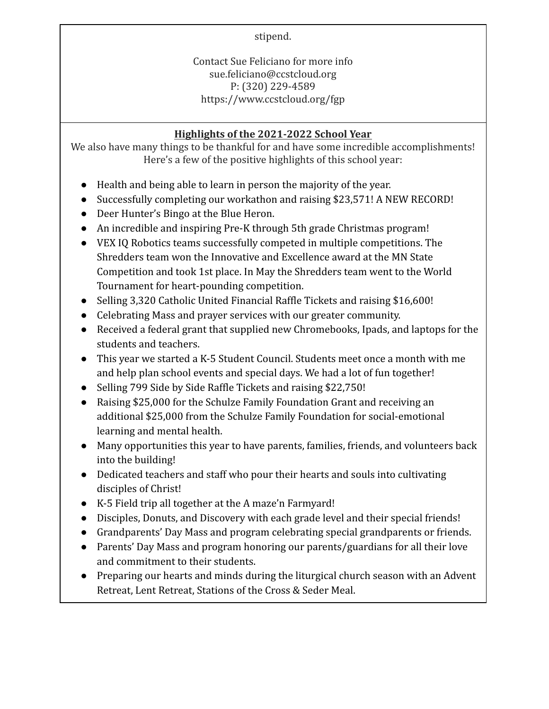stipend.

Contact Sue Feliciano for more info sue.feliciano@ccstcloud.org P: (320) 229-4589 https://www.ccstcloud.org/fgp

# **Highlights of the 2021-2022 School Year**

We also have many things to be thankful for and have some incredible accomplishments! Here's a few of the positive highlights of this school year:

- Health and being able to learn in person the majority of the year.
- Successfully completing our workathon and raising \$23,571! A NEW RECORD!
- Deer Hunter's Bingo at the Blue Heron.
- An incredible and inspiring Pre-K through 5th grade Christmas program!
- VEX IQ Robotics teams successfully competed in multiple competitions. The Shredders team won the Innovative and Excellence award at the MN State Competition and took 1st place. In May the Shredders team went to the World Tournament for heart-pounding competition.
- Selling 3,320 Catholic United Financial Raffle Tickets and raising \$16,600!
- Celebrating Mass and prayer services with our greater community.
- Received a federal grant that supplied new Chromebooks, Ipads, and laptops for the students and teachers.
- This year we started a K-5 Student Council. Students meet once a month with me and help plan school events and special days. We had a lot of fun together!
- Selling 799 Side by Side Raffle Tickets and raising \$22,750!
- Raising \$25,000 for the Schulze Family Foundation Grant and receiving an additional \$25,000 from the Schulze Family Foundation for social-emotional learning and mental health.
- Many opportunities this year to have parents, families, friends, and volunteers back into the building!
- Dedicated teachers and staff who pour their hearts and souls into cultivating disciples of Christ!
- K-5 Field trip all together at the A maze'n Farmyard!
- Disciples, Donuts, and Discovery with each grade level and their special friends!
- Grandparents' Day Mass and program celebrating special grandparents or friends.
- Parents' Day Mass and program honoring our parents/guardians for all their love and commitment to their students.
- Preparing our hearts and minds during the liturgical church season with an Advent Retreat, Lent Retreat, Stations of the Cross & Seder Meal.